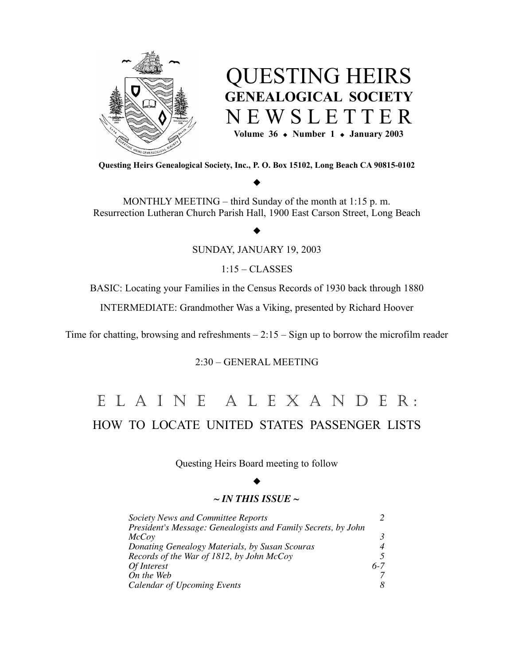

# QUESTING HEIRS **GENEALOGICAL SOCIETY** N E W S L E T T E R **Volume**  $36 \div \text{Number} 1 \div \text{January} 2003$

**Questing Heirs Genealogical Society, Inc., P. O. Box 15102, Long Beach CA 90815-0102**

# $\blacklozenge$

MONTHLY MEETING – third Sunday of the month at 1:15 p. m. Resurrection Lutheran Church Parish Hall, 1900 East Carson Street, Long Beach

## $\blacklozenge$

SUNDAY, JANUARY 19, 2003

1:15 – CLASSES

BASIC: Locating your Families in the Census Records of 1930 back through 1880

INTERMEDIATE: Grandmother Was a Viking, presented by Richard Hoover

Time for chatting, browsing and refreshments  $-2:15 - Sign$  up to borrow the microfilm reader

# 2:30 – GENERAL MEETING

# E L A I N E A L E X A N D E R : HOW TO LOCATE UNITED STATES PASSENGER LISTS

Questing Heirs Board meeting to follow

#### $\blacklozenge$

## *~ IN THIS ISSUE ~*

| Society News and Committee Reports                            |         |
|---------------------------------------------------------------|---------|
| President's Message: Genealogists and Family Secrets, by John |         |
| <i>McCoy</i>                                                  | 3       |
| Donating Genealogy Materials, by Susan Scouras                |         |
| Records of the War of 1812, by John McCoy                     |         |
| Of Interest                                                   | $6 - 7$ |
| On the Web                                                    |         |
| <b>Calendar of Upcoming Events</b>                            | 8       |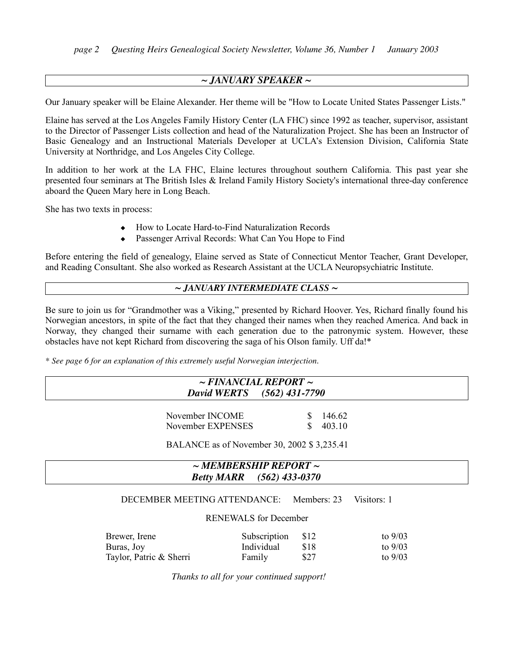## *~ JANUARY SPEAKER ~*

Our January speaker will be Elaine Alexander. Her theme will be "How to Locate United States Passenger Lists."

Elaine has served at the Los Angeles Family History Center (LA FHC) since 1992 as teacher, supervisor, assistant to the Director of Passenger Lists collection and head of the Naturalization Project. She has been an Instructor of Basic Genealogy and an Instructional Materials Developer at UCLA's Extension Division, California State University at Northridge, and Los Angeles City College.

In addition to her work at the LA FHC, Elaine lectures throughout southern California. This past year she presented four seminars at The British Isles & Ireland Family History Society's international three-day conference aboard the Queen Mary here in Long Beach.

She has two texts in process:

- How to Locate Hard-to-Find Naturalization Records
- ! Passenger Arrival Records: What Can You Hope to Find

Before entering the field of genealogy, Elaine served as State of Connecticut Mentor Teacher, Grant Developer, and Reading Consultant. She also worked as Research Assistant at the UCLA Neuropsychiatric Institute.

#### *~ JANUARY INTERMEDIATE CLASS ~*

Be sure to join us for "Grandmother was a Viking," presented by Richard Hoover. Yes, Richard finally found his Norwegian ancestors, in spite of the fact that they changed their names when they reached America. And back in Norway, they changed their surname with each generation due to the patronymic system. However, these obstacles have not kept Richard from discovering the saga of his Olson family. Uff da!\*

*\* See page 6 for an explanation of this extremely useful Norwegian interjection.*

| $\sim$ FINANCIAL REPORT $\sim$ |
|--------------------------------|
| David WERTS (562) 431-7790     |
|                                |

November INCOME \$ 146.62 November EXPENSES \$ 403.10

BALANCE as of November 30, 2002 \$ 3,235.41

|                   | $\sim$ MEMBERSHIP REPORT $\sim$ |
|-------------------|---------------------------------|
| <b>Betty MARR</b> | $(562)$ 433-0370                |
|                   |                                 |

## DECEMBER MEETING ATTENDANCE: Members: 23 Visitors: 1

#### RENEWALS for December

| Brewer, Irene           | Subscription | \$12       | to $9/03$ |
|-------------------------|--------------|------------|-----------|
| Buras, Joy              | Individual   | -818       | to $9/03$ |
| Taylor, Patric & Sherri | Family       | <b>S27</b> | to $9/03$ |

*Thanks to all for your continued support!*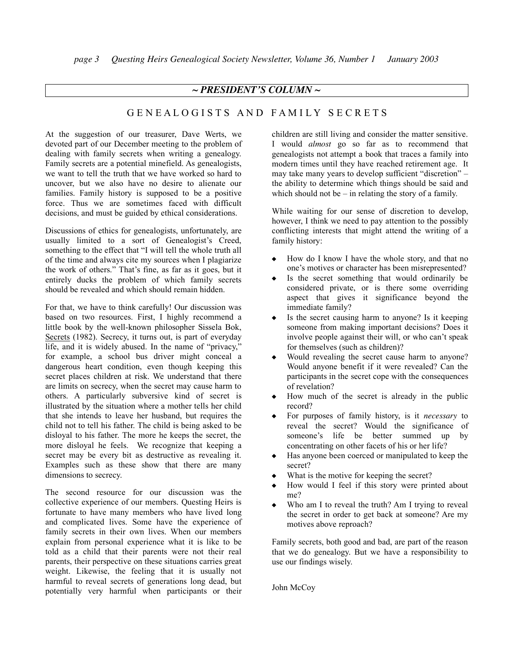## *~ PRESIDENT'S COLUMN ~*

# GENEALOGISTS AND FAMILY SECRETS

At the suggestion of our treasurer, Dave Werts, we devoted part of our December meeting to the problem of dealing with family secrets when writing a genealogy. Family secrets are a potential minefield. As genealogists, we want to tell the truth that we have worked so hard to uncover, but we also have no desire to alienate our families. Family history is supposed to be a positive force. Thus we are sometimes faced with difficult decisions, and must be guided by ethical considerations.

Discussions of ethics for genealogists, unfortunately, are usually limited to a sort of Genealogist's Creed, something to the effect that "I will tell the whole truth all of the time and always cite my sources when I plagiarize the work of others." That's fine, as far as it goes, but it entirely ducks the problem of which family secrets should be revealed and which should remain hidden.

For that, we have to think carefully! Our discussion was based on two resources. First, I highly recommend a little book by the well-known philosopher Sissela Bok, Secrets (1982). Secrecy, it turns out, is part of everyday life, and it is widely abused. In the name of "privacy," for example, a school bus driver might conceal a dangerous heart condition, even though keeping this secret places children at risk. We understand that there are limits on secrecy, when the secret may cause harm to others. A particularly subversive kind of secret is illustrated by the situation where a mother tells her child that she intends to leave her husband, but requires the child not to tell his father. The child is being asked to be disloyal to his father. The more he keeps the secret, the more disloyal he feels. We recognize that keeping a secret may be every bit as destructive as revealing it. Examples such as these show that there are many dimensions to secrecy.

The second resource for our discussion was the collective experience of our members. Questing Heirs is fortunate to have many members who have lived long and complicated lives. Some have the experience of family secrets in their own lives. When our members explain from personal experience what it is like to be told as a child that their parents were not their real parents, their perspective on these situations carries great weight. Likewise, the feeling that it is usually not harmful to reveal secrets of generations long dead, but potentially very harmful when participants or their

children are still living and consider the matter sensitive. I would *almost* go so far as to recommend that genealogists not attempt a book that traces a family into modern times until they have reached retirement age. It may take many years to develop sufficient "discretion" – the ability to determine which things should be said and which should not be  $-$  in relating the story of a family.

While waiting for our sense of discretion to develop, however, I think we need to pay attention to the possibly conflicting interests that might attend the writing of a family history:

- ! How do I know I have the whole story, and that no one's motives or character has been misrepresented?
- Is the secret something that would ordinarily be considered private, or is there some overriding aspect that gives it significance beyond the immediate family?
- Is the secret causing harm to anyone? Is it keeping someone from making important decisions? Does it involve people against their will, or who can't speak for themselves (such as children)?
- Would revealing the secret cause harm to anyone? Would anyone benefit if it were revealed? Can the participants in the secret cope with the consequences of revelation?
- How much of the secret is already in the public record?
- ! For purposes of family history, is it *necessary* to reveal the secret? Would the significance of someone's life be better summed up by concentrating on other facets of his or her life?
- ! Has anyone been coerced or manipulated to keep the secret?
- What is the motive for keeping the secret?
- ! How would I feel if this story were printed about me?
- Who am I to reveal the truth? Am I trying to reveal the secret in order to get back at someone? Are my motives above reproach?

Family secrets, both good and bad, are part of the reason that we do genealogy. But we have a responsibility to use our findings wisely.

John McCoy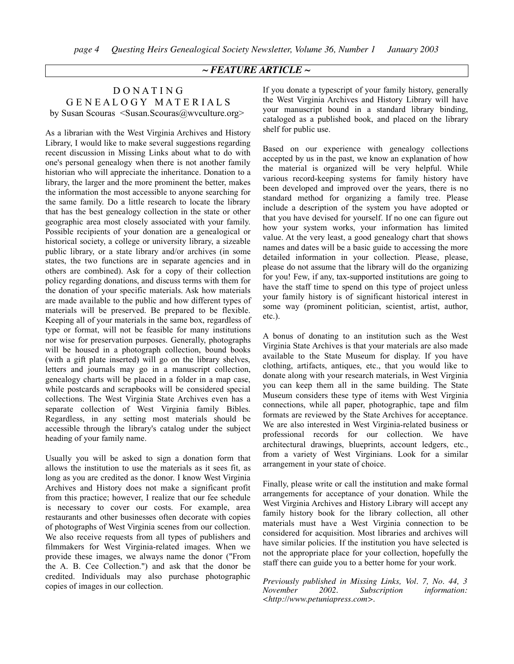## *~ FEATURE ARTICLE ~*

## D O N A T I N G G E N E A L O G Y M A T E R I A L S by Susan Scouras <Susan.Scouras@wvculture.org>

As a librarian with the West Virginia Archives and History Library, I would like to make several suggestions regarding recent discussion in Missing Links about what to do with one's personal genealogy when there is not another family historian who will appreciate the inheritance. Donation to a library, the larger and the more prominent the better, makes the information the most accessible to anyone searching for the same family. Do a little research to locate the library that has the best genealogy collection in the state or other geographic area most closely associated with your family. Possible recipients of your donation are a genealogical or historical society, a college or university library, a sizeable public library, or a state library and/or archives (in some states, the two functions are in separate agencies and in others are combined). Ask for a copy of their collection policy regarding donations, and discuss terms with them for the donation of your specific materials. Ask how materials are made available to the public and how different types of materials will be preserved. Be prepared to be flexible. Keeping all of your materials in the same box, regardless of type or format, will not be feasible for many institutions nor wise for preservation purposes. Generally, photographs will be housed in a photograph collection, bound books (with a gift plate inserted) will go on the library shelves, letters and journals may go in a manuscript collection, genealogy charts will be placed in a folder in a map case, while postcards and scrapbooks will be considered special collections. The West Virginia State Archives even has a separate collection of West Virginia family Bibles. Regardless, in any setting most materials should be accessible through the library's catalog under the subject heading of your family name.

Usually you will be asked to sign a donation form that allows the institution to use the materials as it sees fit, as long as you are credited as the donor. I know West Virginia Archives and History does not make a significant profit from this practice; however, I realize that our fee schedule is necessary to cover our costs. For example, area restaurants and other businesses often decorate with copies of photographs of West Virginia scenes from our collection. We also receive requests from all types of publishers and filmmakers for West Virginia-related images. When we provide these images, we always name the donor ("From the A. B. Cee Collection.") and ask that the donor be credited. Individuals may also purchase photographic copies of images in our collection.

If you donate a typescript of your family history, generally the West Virginia Archives and History Library will have your manuscript bound in a standard library binding, cataloged as a published book, and placed on the library shelf for public use.

Based on our experience with genealogy collections accepted by us in the past, we know an explanation of how the material is organized will be very helpful. While various record-keeping systems for family history have been developed and improved over the years, there is no standard method for organizing a family tree. Please include a description of the system you have adopted or that you have devised for yourself. If no one can figure out how your system works, your information has limited value. At the very least, a good genealogy chart that shows names and dates will be a basic guide to accessing the more detailed information in your collection. Please, please, please do not assume that the library will do the organizing for you! Few, if any, tax-supported institutions are going to have the staff time to spend on this type of project unless your family history is of significant historical interest in some way (prominent politician, scientist, artist, author, etc.).

A bonus of donating to an institution such as the West Virginia State Archives is that your materials are also made available to the State Museum for display. If you have clothing, artifacts, antiques, etc., that you would like to donate along with your research materials, in West Virginia you can keep them all in the same building. The State Museum considers these type of items with West Virginia connections, while all paper, photographic, tape and film formats are reviewed by the State Archives for acceptance. We are also interested in West Virginia-related business or professional records for our collection. We have architectural drawings, blueprints, account ledgers, etc., from a variety of West Virginians. Look for a similar arrangement in your state of choice.

Finally, please write or call the institution and make formal arrangements for acceptance of your donation. While the West Virginia Archives and History Library will accept any family history book for the library collection, all other materials must have a West Virginia connection to be considered for acquisition. Most libraries and archives will have similar policies. If the institution you have selected is not the appropriate place for your collection, hopefully the staff there can guide you to a better home for your work.

*Previously published in Missing Links, Vol. 7, No. 44, 3 November 2002. Subscription information: <http://www.petuniapress.com>.*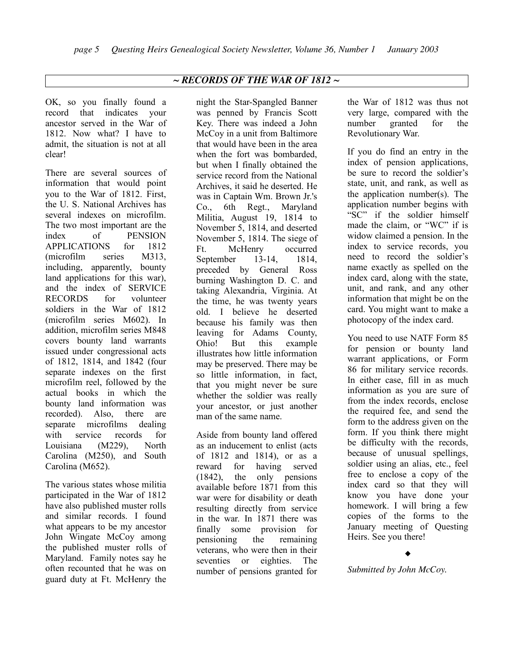# *~ RECORDS OF THE WAR OF 1812 ~*

OK, so you finally found a record that indicates your ancestor served in the War of 1812. Now what? I have to admit, the situation is not at all clear!

There are several sources of information that would point you to the War of 1812. First, the U. S. National Archives has several indexes on microfilm. The two most important are the index of PENSION APPLICATIONS for 1812 (microfilm series M313, including, apparently, bounty land applications for this war), and the index of SERVICE RECORDS for volunteer soldiers in the War of 1812 (microfilm series M602). In addition, microfilm series M848 covers bounty land warrants issued under congressional acts of 1812, 1814, and 1842 (four separate indexes on the first microfilm reel, followed by the actual books in which the bounty land information was recorded). Also, there are separate microfilms dealing with service records for Louisiana (M229), North Carolina (M250), and South Carolina (M652).

The various states whose militia participated in the War of 1812 have also published muster rolls and similar records. I found what appears to be my ancestor John Wingate McCoy among the published muster rolls of Maryland. Family notes say he often recounted that he was on guard duty at Ft. McHenry the

night the Star-Spangled Banner was penned by Francis Scott Key. There was indeed a John McCoy in a unit from Baltimore that would have been in the area when the fort was bombarded, but when I finally obtained the service record from the National Archives, it said he deserted. He was in Captain Wm. Brown Jr.'s Co., 6th Regt., Maryland Militia, August 19, 1814 to November 5, 1814, and deserted November 5, 1814. The siege of Ft. McHenry occurred September 13-14, 1814. preceded by General Ross burning Washington D. C. and taking Alexandria, Virginia. At the time, he was twenty years old. I believe he deserted because his family was then leaving for Adams County, Ohio! But this example illustrates how little information may be preserved. There may be so little information, in fact, that you might never be sure whether the soldier was really your ancestor, or just another man of the same name.

Aside from bounty land offered as an inducement to enlist (acts of 1812 and 1814), or as a reward for having served (1842), the only pensions available before 1871 from this war were for disability or death resulting directly from service in the war. In 1871 there was finally some provision for pensioning the remaining veterans, who were then in their seventies or eighties. The number of pensions granted for

the War of 1812 was thus not very large, compared with the number granted for the Revolutionary War.

If you do find an entry in the index of pension applications, be sure to record the soldier's state, unit, and rank, as well as the application number(s). The application number begins with "SC" if the soldier himself made the claim, or "WC" if is widow claimed a pension. In the index to service records, you need to record the soldier's name exactly as spelled on the index card, along with the state, unit, and rank, and any other information that might be on the card. You might want to make a photocopy of the index card.

You need to use NATF Form 85 for pension or bounty land warrant applications, or Form 86 for military service records. In either case, fill in as much information as you are sure of from the index records, enclose the required fee, and send the form to the address given on the form. If you think there might be difficulty with the records, because of unusual spellings, soldier using an alias, etc., feel free to enclose a copy of the index card so that they will know you have done your homework. I will bring a few copies of the forms to the January meeting of Questing Heirs. See you there!

 $\blacklozenge$ 

*Submitted by John McCoy.*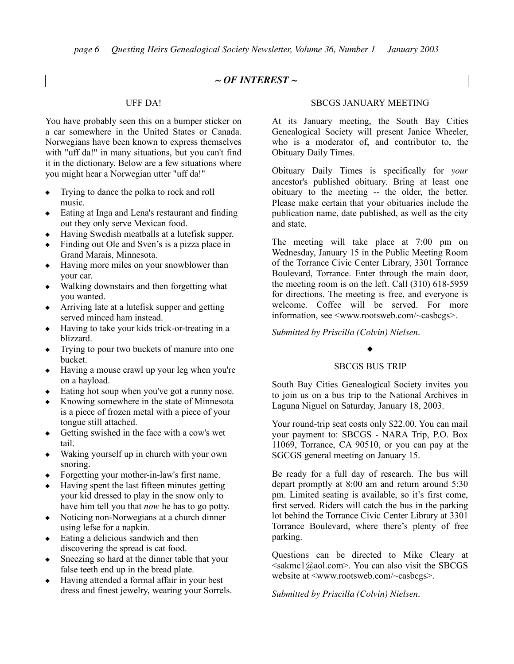# *~ OF INTEREST ~*

## UFF DA!

You have probably seen this on a bumper sticker on a car somewhere in the United States or Canada. Norwegians have been known to express themselves with "uff da!" in many situations, but you can't find it in the dictionary. Below are a few situations where you might hear a Norwegian utter "uff da!"

- ! Trying to dance the polka to rock and roll music.
- Eating at Inga and Lena's restaurant and finding out they only serve Mexican food.
- ! Having Swedish meatballs at a lutefisk supper.
- ! Finding out Ole and Sven's is a pizza place in Grand Marais, Minnesota.
- Having more miles on your snowblower than your car.
- ! Walking downstairs and then forgetting what you wanted.
- $\triangle$  Arriving late at a lutefisk supper and getting served minced ham instead.
- ! Having to take your kids trick-or-treating in a blizzard.
- $\bullet$  Trying to pour two buckets of manure into one bucket.
- $\triangle$  Having a mouse crawl up your leg when you're on a hayload.
- Eating hot soup when you've got a runny nose.
- ! Knowing somewhere in the state of Minnesota is a piece of frozen metal with a piece of your tongue still attached.
- Getting swished in the face with a cow's wet tail.
- $\bullet$  Waking yourself up in church with your own snoring.
- ! Forgetting your mother-in-law's first name.
- ! Having spent the last fifteen minutes getting your kid dressed to play in the snow only to have him tell you that *now* he has to go potty.
- Noticing non-Norwegians at a church dinner using lefse for a napkin.
- Eating a delicious sandwich and then discovering the spread is cat food.
- Sneezing so hard at the dinner table that your false teeth end up in the bread plate.
- ! Having attended a formal affair in your best dress and finest jewelry, wearing your Sorrels.

## SBCGS JANUARY MEETING

At its January meeting, the South Bay Cities Genealogical Society will present Janice Wheeler, who is a moderator of, and contributor to, the Obituary Daily Times.

Obituary Daily Times is specifically for *your* ancestor's published obituary. Bring at least one obituary to the meeting -- the older, the better. Please make certain that your obituaries include the publication name, date published, as well as the city and state.

The meeting will take place at 7:00 pm on Wednesday, January 15 in the Public Meeting Room of the Torrance Civic Center Library, 3301 Torrance Boulevard, Torrance. Enter through the main door, the meeting room is on the left. Call (310) 618-5959 for directions. The meeting is free, and everyone is welcome. Coffee will be served. For more information, see <www.rootsweb.com/~casbcgs>.

*Submitted by Priscilla (Colvin) Nielsen.*

# $\blacklozenge$

## SBCGS BUS TRIP

South Bay Cities Genealogical Society invites you to join us on a bus trip to the National Archives in Laguna Niguel on Saturday, January 18, 2003.

Your round-trip seat costs only \$22.00. You can mail your payment to: SBCGS - NARA Trip, P.O. Box 11069, Torrance, CA 90510, or you can pay at the SGCGS general meeting on January 15.

Be ready for a full day of research. The bus will depart promptly at 8:00 am and return around 5:30 pm. Limited seating is available, so it's first come, first served. Riders will catch the bus in the parking lot behind the Torrance Civic Center Library at 3301 Torrance Boulevard, where there's plenty of free parking.

Questions can be directed to Mike Cleary at  $\leq$ sakmc1@aol.com>. You can also visit the SBCGS website at <www.rootsweb.com/~casbcgs>.

*Submitted by Priscilla (Colvin) Nielsen.*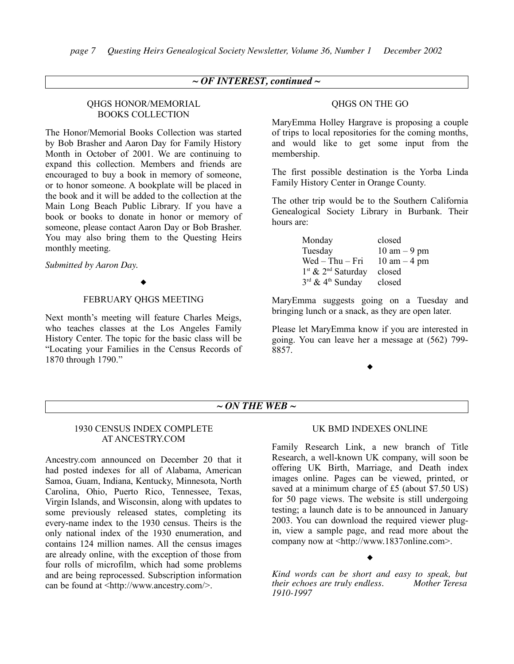## *~ OF INTEREST, continued ~*

#### QHGS HONOR/MEMORIAL BOOKS COLLECTION

The Honor/Memorial Books Collection was started by Bob Brasher and Aaron Day for Family History Month in October of 2001. We are continuing to expand this collection. Members and friends are encouraged to buy a book in memory of someone, or to honor someone. A bookplate will be placed in the book and it will be added to the collection at the Main Long Beach Public Library. If you have a book or books to donate in honor or memory of someone, please contact Aaron Day or Bob Brasher. You may also bring them to the Questing Heirs monthly meeting.

*Submitted by Aaron Day.*

#### $\blacklozenge$

## FEBRUARY QHGS MEETING

Next month's meeting will feature Charles Meigs, who teaches classes at the Los Angeles Family History Center. The topic for the basic class will be "Locating your Families in the Census Records of 1870 through 1790."

#### QHGS ON THE GO

MaryEmma Holley Hargrave is proposing a couple of trips to local repositories for the coming months, and would like to get some input from the membership.

The first possible destination is the Yorba Linda Family History Center in Orange County.

The other trip would be to the Southern California Genealogical Society Library in Burbank. Their hours are:

| Monday                                     | closed                         |
|--------------------------------------------|--------------------------------|
| Tuesday                                    | $10 \text{ am} - 9 \text{ pm}$ |
| $Wed - Thu - Fri$                          | $10 \text{ am} - 4 \text{ pm}$ |
| 1 <sup>st</sup> & 2 <sup>nd</sup> Saturday | closed                         |
| 3rd & 4 <sup>th</sup> Sunday               | closed                         |

MaryEmma suggests going on a Tuesday and bringing lunch or a snack, as they are open later.

Please let MaryEmma know if you are interested in going. You can leave her a message at (562) 799- 8857.

 $\blacklozenge$ 

## *~ ON THE WEB ~*

#### 1930 CENSUS INDEX COMPLETE AT ANCESTRY.COM

Ancestry.com announced on December 20 that it had posted indexes for all of Alabama, American Samoa, Guam, Indiana, Kentucky, Minnesota, North Carolina, Ohio, Puerto Rico, Tennessee, Texas, Virgin Islands, and Wisconsin, along with updates to some previously released states, completing its every-name index to the 1930 census. Theirs is the only national index of the 1930 enumeration, and contains 124 million names. All the census images are already online, with the exception of those from four rolls of microfilm, which had some problems and are being reprocessed. Subscription information can be found at <http://www.ancestry.com/>.

#### UK BMD INDEXES ONLINE

Family Research Link, a new branch of Title Research, a well-known UK company, will soon be offering UK Birth, Marriage, and Death index images online. Pages can be viewed, printed, or saved at a minimum charge of £5 (about \$7.50 US) for 50 page views. The website is still undergoing testing; a launch date is to be announced in January 2003. You can download the required viewer plugin, view a sample page, and read more about the company now at <http://www.1837online.com>.

 $\blacklozenge$ 

*Kind words can be short and easy to speak, but their echoes are truly endless. 1910-1997*